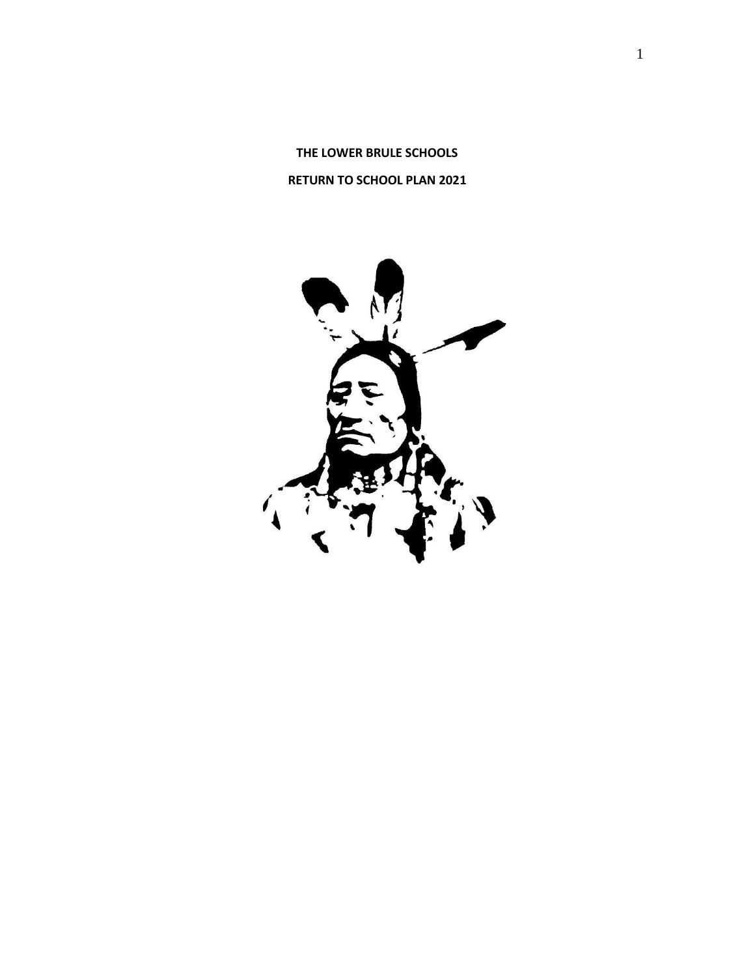**THE LOWER BRULE SCHOOLS RETURN TO SCHOOL PLAN 2021**

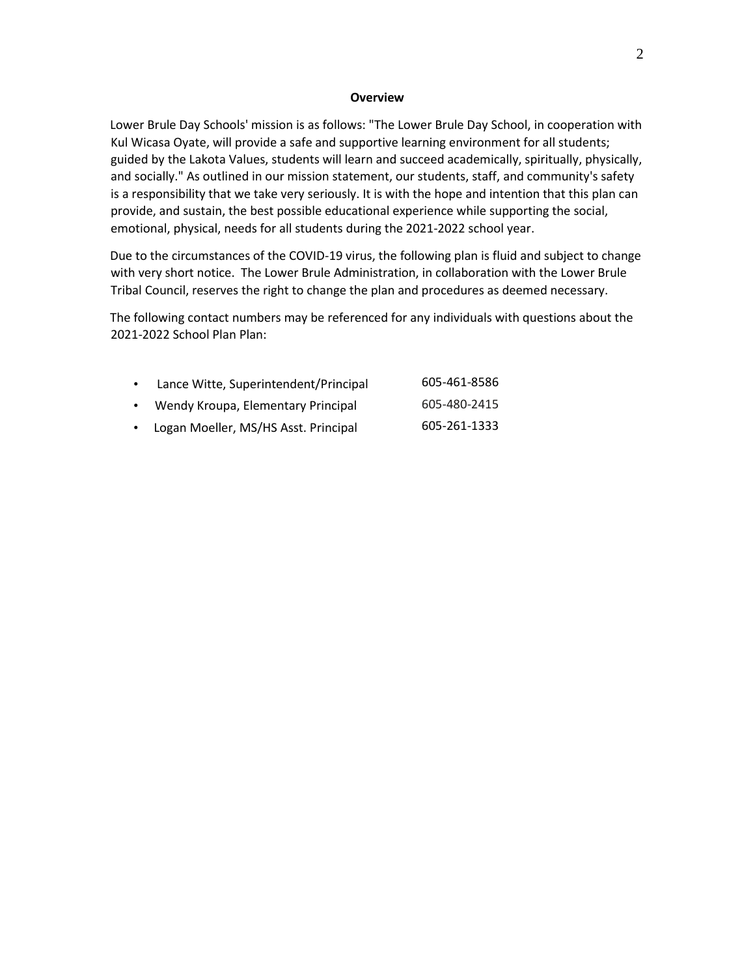#### **Overview**

Lower Brule Day Schools' mission is as follows: "The Lower Brule Day School, in cooperation with Kul Wicasa Oyate, will provide a safe and supportive learning environment for all students; guided by the Lakota Values, students will learn and succeed academically, spiritually, physically, and socially." As outlined in our mission statement, our students, staff, and community's safety is a responsibility that we take very seriously. It is with the hope and intention that this plan can provide, and sustain, the best possible educational experience while supporting the social, emotional, physical, needs for all students during the 2021-2022 school year.

Due to the circumstances of the COVID-19 virus, the following plan is fluid and subject to change with very short notice. The Lower Brule Administration, in collaboration with the Lower Brule Tribal Council, reserves the right to change the plan and procedures as deemed necessary.

The following contact numbers may be referenced for any individuals with questions about the 2021-2022 School Plan Plan:

| $\bullet$ | Lance Witte, Superintendent/Principal | 605-461-8586 |
|-----------|---------------------------------------|--------------|
|           | Wendy Kroupa, Elementary Principal    | 605-480-2415 |
| $\bullet$ | Logan Moeller, MS/HS Asst. Principal  | 605-261-1333 |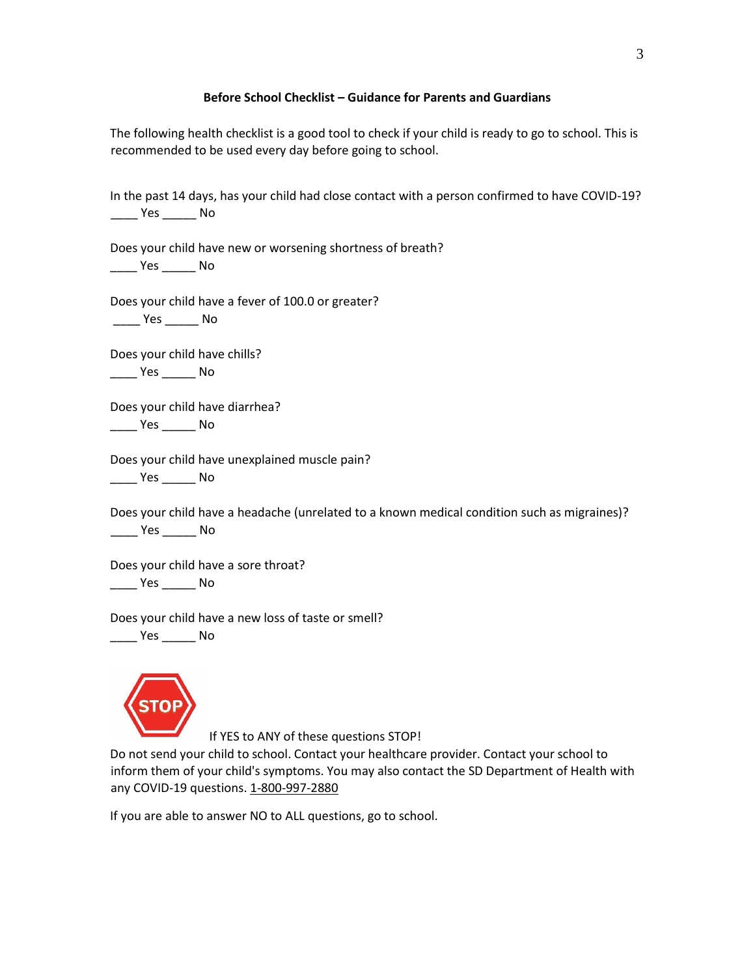#### **Before School Checklist – Guidance for Parents and Guardians**

The following health checklist is a good tool to check if your child is ready to go to school. This is recommended to be used every day before going to school.

In the past 14 days, has your child had close contact with a person confirmed to have COVID-19? \_\_\_\_ Yes \_\_\_\_\_ No

Does your child have new or worsening shortness of breath? \_\_\_\_ Yes \_\_\_\_\_ No

Does your child have a fever of 100.0 or greater?

\_\_\_\_ Yes \_\_\_\_\_ No

Does your child have chills? \_\_\_\_ Yes \_\_\_\_\_ No

Does your child have diarrhea? \_\_\_\_ Yes \_\_\_\_\_ No

Does your child have unexplained muscle pain?

\_\_\_\_ Yes \_\_\_\_\_ No

Does your child have a headache (unrelated to a known medical condition such as migraines)? \_\_\_\_ Yes \_\_\_\_\_ No

Does your child have a sore throat? \_\_\_\_ Yes \_\_\_\_\_ No

Does your child have a new loss of taste or smell?

\_\_\_\_ Yes \_\_\_\_\_ No



If YES to ANY of these questions STOP!

Do not send your child to school. Contact your healthcare provider. Contact your school to inform them of your child's symptoms. You may also contact the SD Department of Health with any COVID-19 questions. 1-800-997-2880

If you are able to answer NO to ALL questions, go to school.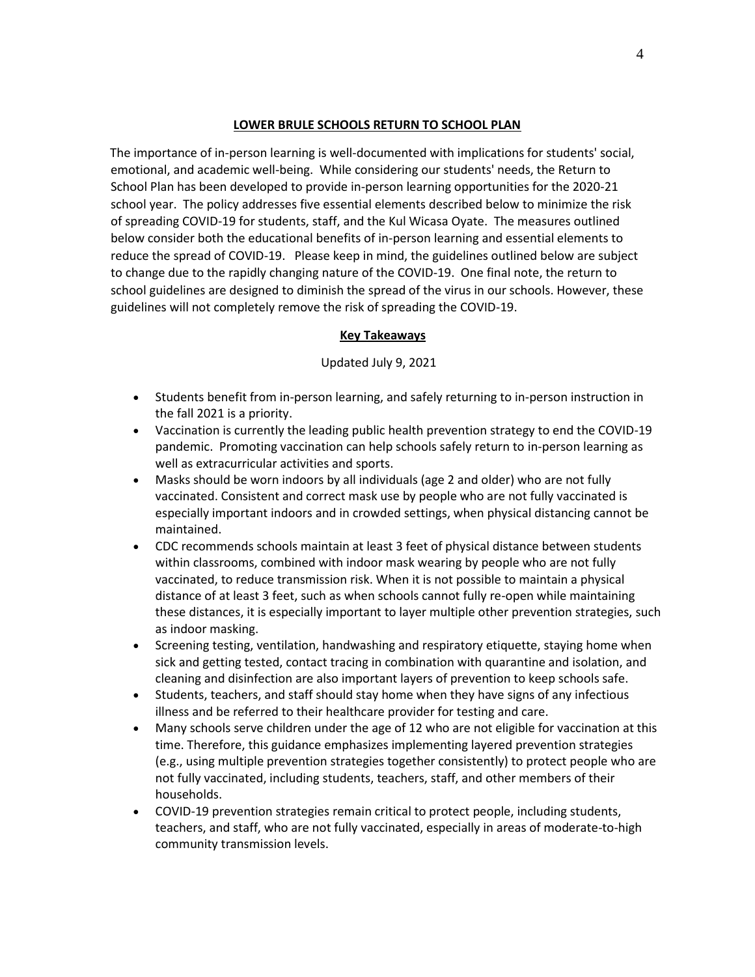#### **LOWER BRULE SCHOOLS RETURN TO SCHOOL PLAN**

The importance of in-person learning is well-documented with implications for students' social, emotional, and academic well-being. While considering our students' needs, the Return to School Plan has been developed to provide in-person learning opportunities for the 2020-21 school year. The policy addresses five essential elements described below to minimize the risk of spreading COVID-19 for students, staff, and the Kul Wicasa Oyate. The measures outlined below consider both the educational benefits of in-person learning and essential elements to reduce the spread of COVID-19. Please keep in mind, the guidelines outlined below are subject to change due to the rapidly changing nature of the COVID-19. One final note, the return to school guidelines are designed to diminish the spread of the virus in our schools. However, these guidelines will not completely remove the risk of spreading the COVID-19.

# **Key Takeaways**

Updated July 9, 2021

- Students benefit from in-person learning, and safely returning to in-person instruction in the fall 2021 is a priority.
- Vaccination is currently the leading public health prevention strategy to end the COVID-19 pandemic. Promoting vaccination can help schools safely return to in-person learning as well as extracurricular activities and sports.
- Masks should be worn indoors by all individuals (age 2 and older) who are not fully vaccinated. Consistent and correct mask use by people who are not fully vaccinated is especially important indoors and in crowded settings, when physical distancing cannot be maintained.
- CDC recommends schools maintain at least 3 feet of physical distance between students within classrooms, combined with indoor mask wearing by people who are not fully vaccinated, to reduce transmission risk. When it is not possible to maintain a physical distance of at least 3 feet, such as when schools cannot fully re-open while maintaining these distances, it is especially important to layer multiple other prevention strategies, such as indoor masking.
- Screening testing, ventilation, handwashing and respiratory etiquette, staying home when sick and getting tested, contact tracing in combination with quarantine and isolation, and cleaning and disinfection are also important layers of prevention to keep schools safe.
- Students, teachers, and staff should stay home when they have signs of any infectious illness and be referred to their healthcare provider for testing and care.
- Many schools serve children under the age of 12 who are not eligible for vaccination at this time. Therefore, this guidance emphasizes implementing layered prevention strategies (e.g., using multiple prevention strategies together consistently) to protect people who are not fully vaccinated, including students, teachers, staff, and other members of their households.
- COVID-19 prevention strategies remain critical to protect people, including students, teachers, and staff, who are not fully vaccinated, especially in areas of moderate-to-high community transmission levels.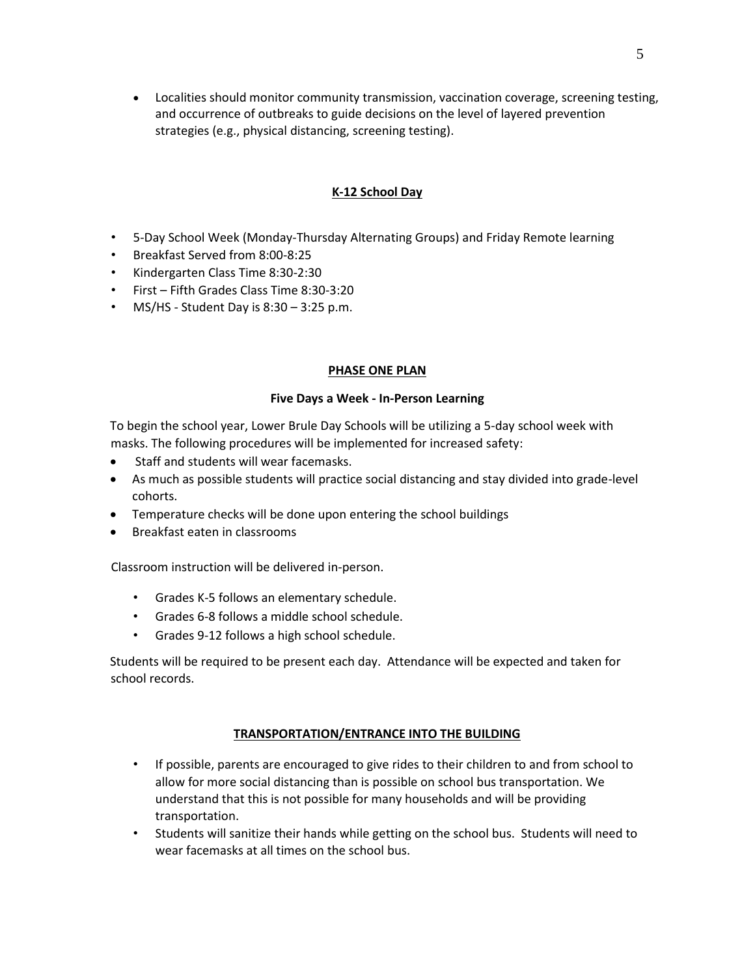• Localities should monitor community transmission, vaccination coverage, screening testing, and occurrence of outbreaks to guide decisions on the level of layered prevention strategies (e.g., physical distancing, screening testing).

# **K-12 School Day**

- 5-Day School Week (Monday-Thursday Alternating Groups) and Friday Remote learning
- Breakfast Served from 8:00-8:25
- Kindergarten Class Time 8:30-2:30
- First Fifth Grades Class Time 8:30-3:20
- MS/HS Student Day is  $8:30 3:25$  p.m.

#### **PHASE ONE PLAN**

#### **Five Days a Week - In-Person Learning**

To begin the school year, Lower Brule Day Schools will be utilizing a 5-day school week with masks. The following procedures will be implemented for increased safety:

- Staff and students will wear facemasks.
- As much as possible students will practice social distancing and stay divided into grade-level cohorts.
- Temperature checks will be done upon entering the school buildings
- Breakfast eaten in classrooms

Classroom instruction will be delivered in-person.

- Grades K-5 follows an elementary schedule.
- Grades 6-8 follows a middle school schedule.
- Grades 9-12 follows a high school schedule.

Students will be required to be present each day. Attendance will be expected and taken for school records.

# **TRANSPORTATION/ENTRANCE INTO THE BUILDING**

- If possible, parents are encouraged to give rides to their children to and from school to allow for more social distancing than is possible on school bus transportation. We understand that this is not possible for many households and will be providing transportation.
- Students will sanitize their hands while getting on the school bus. Students will need to wear facemasks at all times on the school bus.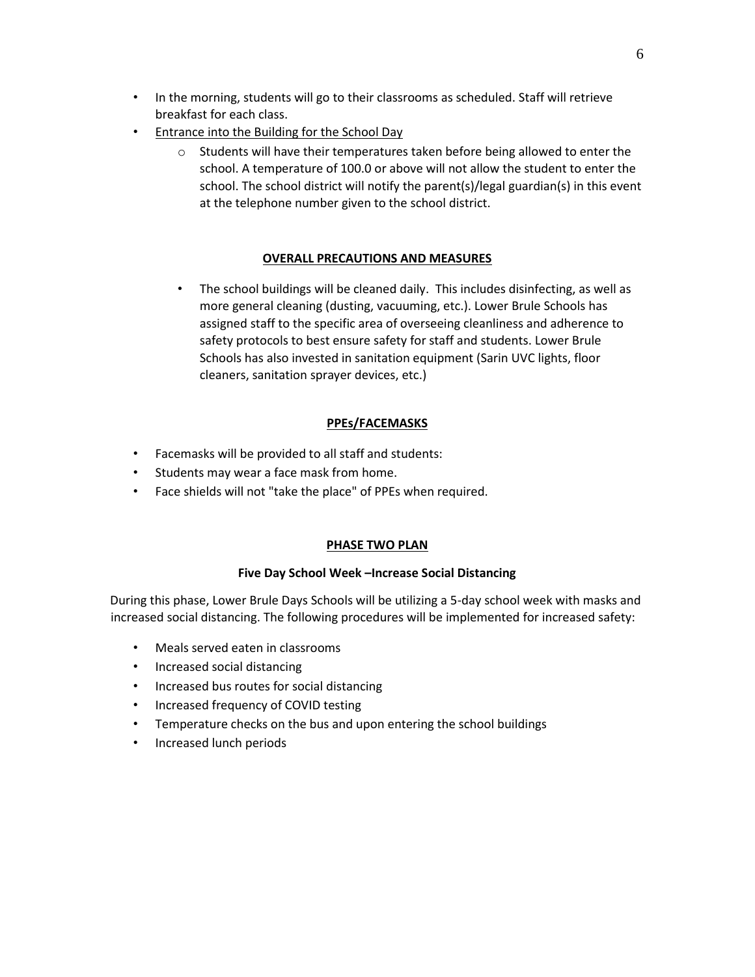- In the morning, students will go to their classrooms as scheduled. Staff will retrieve breakfast for each class.
- Entrance into the Building for the School Day
	- $\circ$  Students will have their temperatures taken before being allowed to enter the school. A temperature of 100.0 or above will not allow the student to enter the school. The school district will notify the parent(s)/legal guardian(s) in this event at the telephone number given to the school district.

# **OVERALL PRECAUTIONS AND MEASURES**

• The school buildings will be cleaned daily. This includes disinfecting, as well as more general cleaning (dusting, vacuuming, etc.). Lower Brule Schools has assigned staff to the specific area of overseeing cleanliness and adherence to safety protocols to best ensure safety for staff and students. Lower Brule Schools has also invested in sanitation equipment (Sarin UVC lights, floor cleaners, sanitation sprayer devices, etc.)

# **PPEs/FACEMASKS**

- Facemasks will be provided to all staff and students:
- Students may wear a face mask from home.
- Face shields will not "take the place" of PPEs when required.

# **PHASE TWO PLAN**

# **Five Day School Week –Increase Social Distancing**

During this phase, Lower Brule Days Schools will be utilizing a 5-day school week with masks and increased social distancing. The following procedures will be implemented for increased safety:

- Meals served eaten in classrooms
- Increased social distancing
- Increased bus routes for social distancing
- Increased frequency of COVID testing
- Temperature checks on the bus and upon entering the school buildings
- Increased lunch periods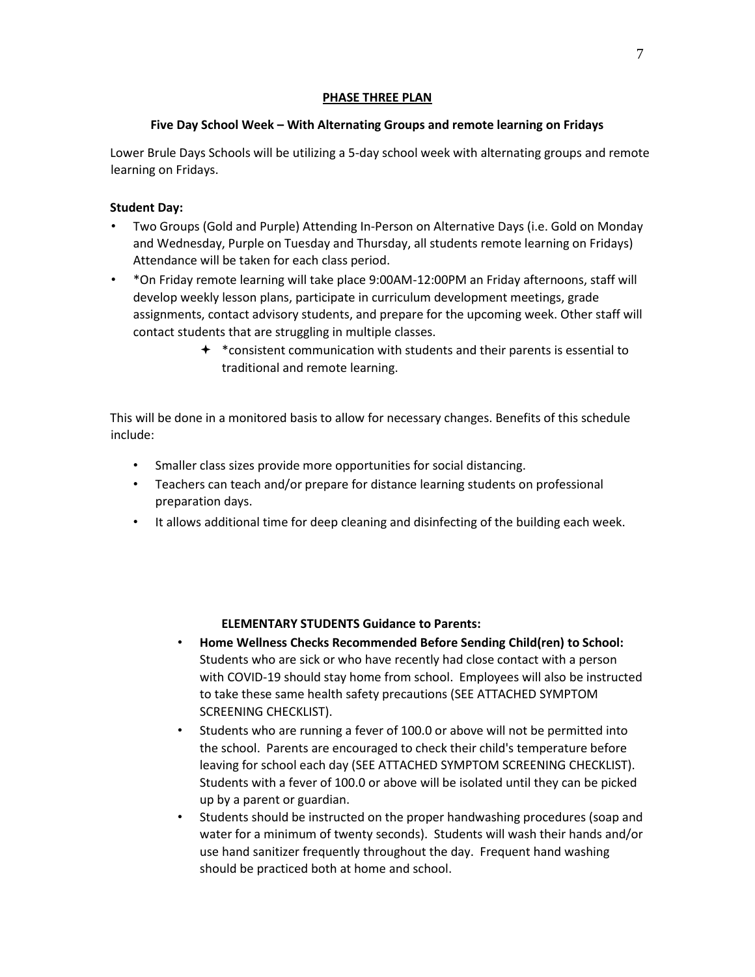#### **PHASE THREE PLAN**

# **Five Day School Week – With Alternating Groups and remote learning on Fridays**

Lower Brule Days Schools will be utilizing a 5-day school week with alternating groups and remote learning on Fridays.

# **Student Day:**

- Two Groups (Gold and Purple) Attending In-Person on Alternative Days (i.e. Gold on Monday and Wednesday, Purple on Tuesday and Thursday, all students remote learning on Fridays) Attendance will be taken for each class period.
- \*On Friday remote learning will take place 9:00AM-12:00PM an Friday afternoons, staff will develop weekly lesson plans, participate in curriculum development meetings, grade assignments, contact advisory students, and prepare for the upcoming week. Other staff will contact students that are struggling in multiple classes.
	- $*$  consistent communication with students and their parents is essential to traditional and remote learning.

This will be done in a monitored basis to allow for necessary changes. Benefits of this schedule include:

- Smaller class sizes provide more opportunities for social distancing.
- Teachers can teach and/or prepare for distance learning students on professional preparation days.
- It allows additional time for deep cleaning and disinfecting of the building each week.

# **ELEMENTARY STUDENTS Guidance to Parents:**

- **Home Wellness Checks Recommended Before Sending Child(ren) to School:** Students who are sick or who have recently had close contact with a person with COVID-19 should stay home from school. Employees will also be instructed to take these same health safety precautions (SEE ATTACHED SYMPTOM SCREENING CHECKLIST).
- Students who are running a fever of 100.0 or above will not be permitted into the school. Parents are encouraged to check their child's temperature before leaving for school each day (SEE ATTACHED SYMPTOM SCREENING CHECKLIST). Students with a fever of 100.0 or above will be isolated until they can be picked up by a parent or guardian.
- Students should be instructed on the proper handwashing procedures (soap and water for a minimum of twenty seconds). Students will wash their hands and/or use hand sanitizer frequently throughout the day. Frequent hand washing should be practiced both at home and school.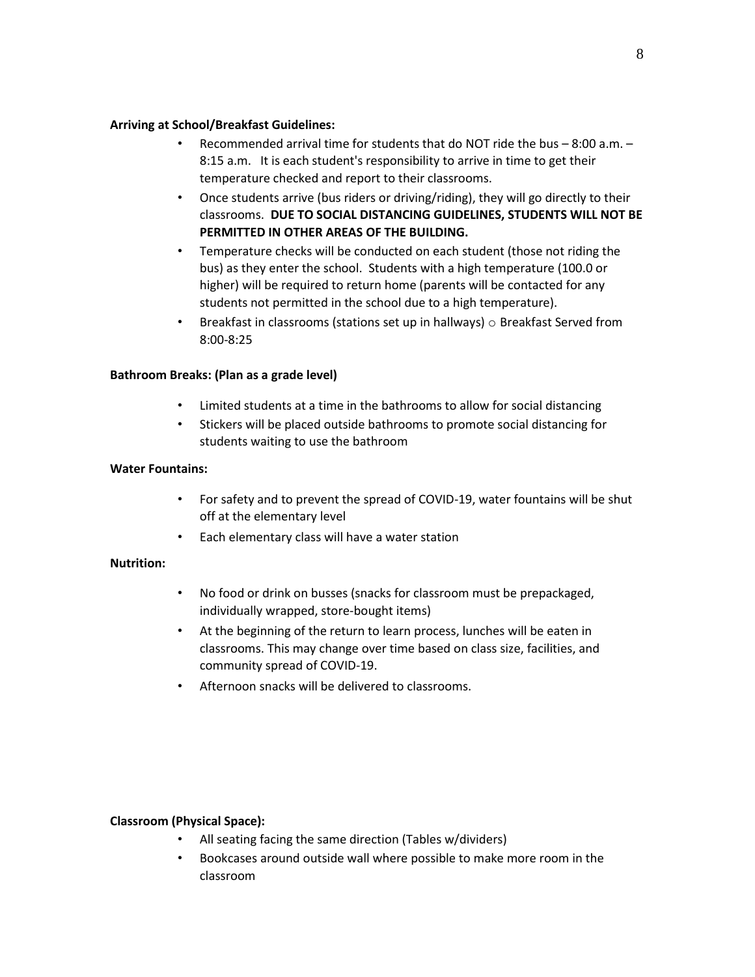#### **Arriving at School/Breakfast Guidelines:**

- Recommended arrival time for students that do NOT ride the bus 8:00 a.m. 8:15 a.m. It is each student's responsibility to arrive in time to get their temperature checked and report to their classrooms.
- Once students arrive (bus riders or driving/riding), they will go directly to their classrooms. **DUE TO SOCIAL DISTANCING GUIDELINES, STUDENTS WILL NOT BE PERMITTED IN OTHER AREAS OF THE BUILDING.**
- Temperature checks will be conducted on each student (those not riding the bus) as they enter the school. Students with a high temperature (100.0 or higher) will be required to return home (parents will be contacted for any students not permitted in the school due to a high temperature).
- Breakfast in classrooms (stations set up in hallways)  $\circ$  Breakfast Served from 8:00-8:25

# **Bathroom Breaks: (Plan as a grade level)**

- Limited students at a time in the bathrooms to allow for social distancing
- Stickers will be placed outside bathrooms to promote social distancing for students waiting to use the bathroom

# **Water Fountains:**

- For safety and to prevent the spread of COVID-19, water fountains will be shut off at the elementary level
- Each elementary class will have a water station

# **Nutrition:**

- No food or drink on busses (snacks for classroom must be prepackaged, individually wrapped, store-bought items)
- At the beginning of the return to learn process, lunches will be eaten in classrooms. This may change over time based on class size, facilities, and community spread of COVID-19.
- Afternoon snacks will be delivered to classrooms.

# **Classroom (Physical Space):**

- All seating facing the same direction (Tables w/dividers)
- Bookcases around outside wall where possible to make more room in the classroom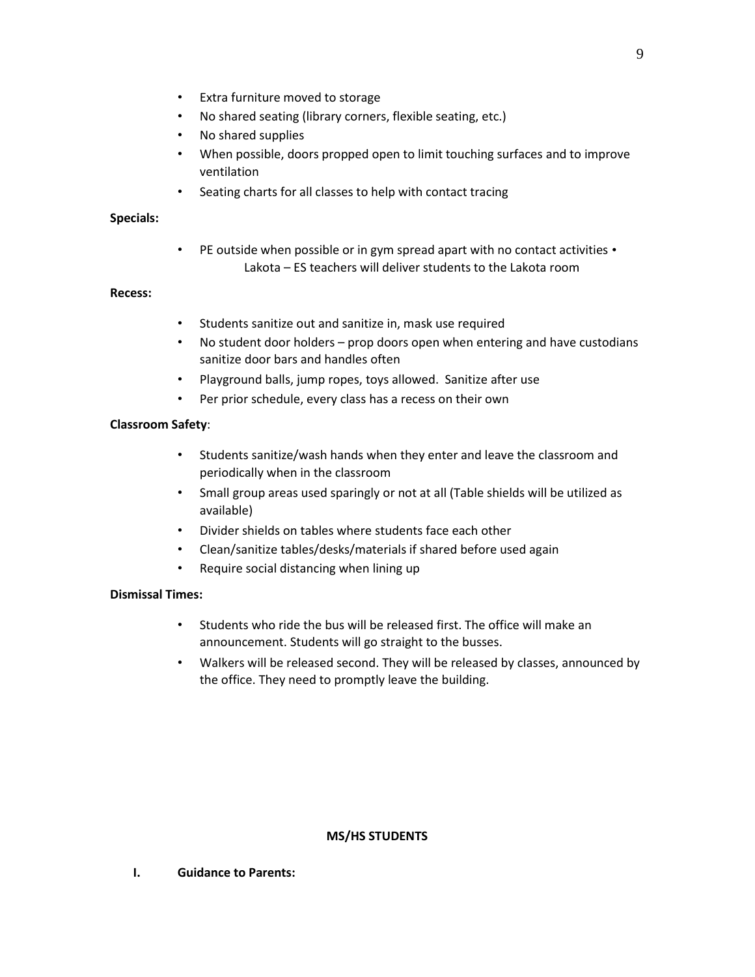- Extra furniture moved to storage
- No shared seating (library corners, flexible seating, etc.)
- No shared supplies
- When possible, doors propped open to limit touching surfaces and to improve ventilation
- Seating charts for all classes to help with contact tracing

#### **Specials:**

• PE outside when possible or in gym spread apart with no contact activities • Lakota – ES teachers will deliver students to the Lakota room

# **Recess:**

- Students sanitize out and sanitize in, mask use required
- No student door holders prop doors open when entering and have custodians sanitize door bars and handles often
- Playground balls, jump ropes, toys allowed. Sanitize after use
- Per prior schedule, every class has a recess on their own

# **Classroom Safety**:

- Students sanitize/wash hands when they enter and leave the classroom and periodically when in the classroom
- Small group areas used sparingly or not at all (Table shields will be utilized as available)
- Divider shields on tables where students face each other
- Clean/sanitize tables/desks/materials if shared before used again
- Require social distancing when lining up

# **Dismissal Times:**

- Students who ride the bus will be released first. The office will make an announcement. Students will go straight to the busses.
- Walkers will be released second. They will be released by classes, announced by the office. They need to promptly leave the building.

#### **MS/HS STUDENTS**

**I. Guidance to Parents:**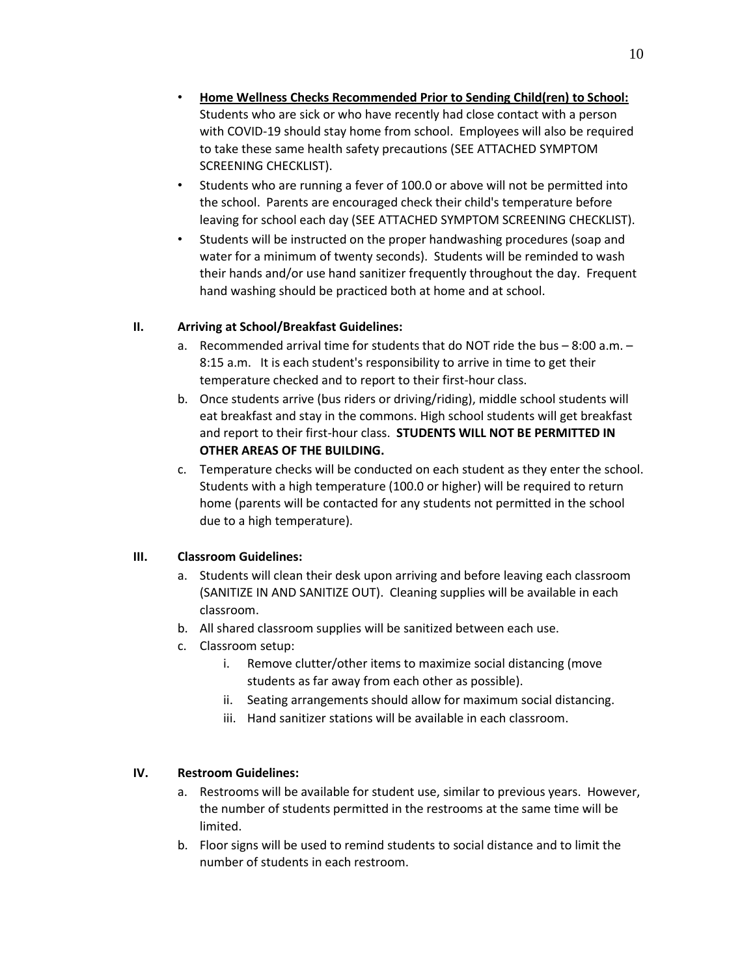- **Home Wellness Checks Recommended Prior to Sending Child(ren) to School:** Students who are sick or who have recently had close contact with a person with COVID-19 should stay home from school. Employees will also be required to take these same health safety precautions (SEE ATTACHED SYMPTOM SCREENING CHECKLIST).
- Students who are running a fever of 100.0 or above will not be permitted into the school. Parents are encouraged check their child's temperature before leaving for school each day (SEE ATTACHED SYMPTOM SCREENING CHECKLIST).
- Students will be instructed on the proper handwashing procedures (soap and water for a minimum of twenty seconds). Students will be reminded to wash their hands and/or use hand sanitizer frequently throughout the day. Frequent hand washing should be practiced both at home and at school.

# **II. Arriving at School/Breakfast Guidelines:**

- a. Recommended arrival time for students that do NOT ride the bus  $-8:00$  a.m.  $-$ 8:15 a.m. It is each student's responsibility to arrive in time to get their temperature checked and to report to their first-hour class.
- b. Once students arrive (bus riders or driving/riding), middle school students will eat breakfast and stay in the commons. High school students will get breakfast and report to their first-hour class. **STUDENTS WILL NOT BE PERMITTED IN OTHER AREAS OF THE BUILDING.**
- c. Temperature checks will be conducted on each student as they enter the school. Students with a high temperature (100.0 or higher) will be required to return home (parents will be contacted for any students not permitted in the school due to a high temperature).

# **III. Classroom Guidelines:**

- a. Students will clean their desk upon arriving and before leaving each classroom (SANITIZE IN AND SANITIZE OUT). Cleaning supplies will be available in each classroom.
- b. All shared classroom supplies will be sanitized between each use.
- c. Classroom setup:
	- i. Remove clutter/other items to maximize social distancing (move students as far away from each other as possible).
	- ii. Seating arrangements should allow for maximum social distancing.
	- iii. Hand sanitizer stations will be available in each classroom.

# **IV. Restroom Guidelines:**

- a. Restrooms will be available for student use, similar to previous years. However, the number of students permitted in the restrooms at the same time will be limited.
- b. Floor signs will be used to remind students to social distance and to limit the number of students in each restroom.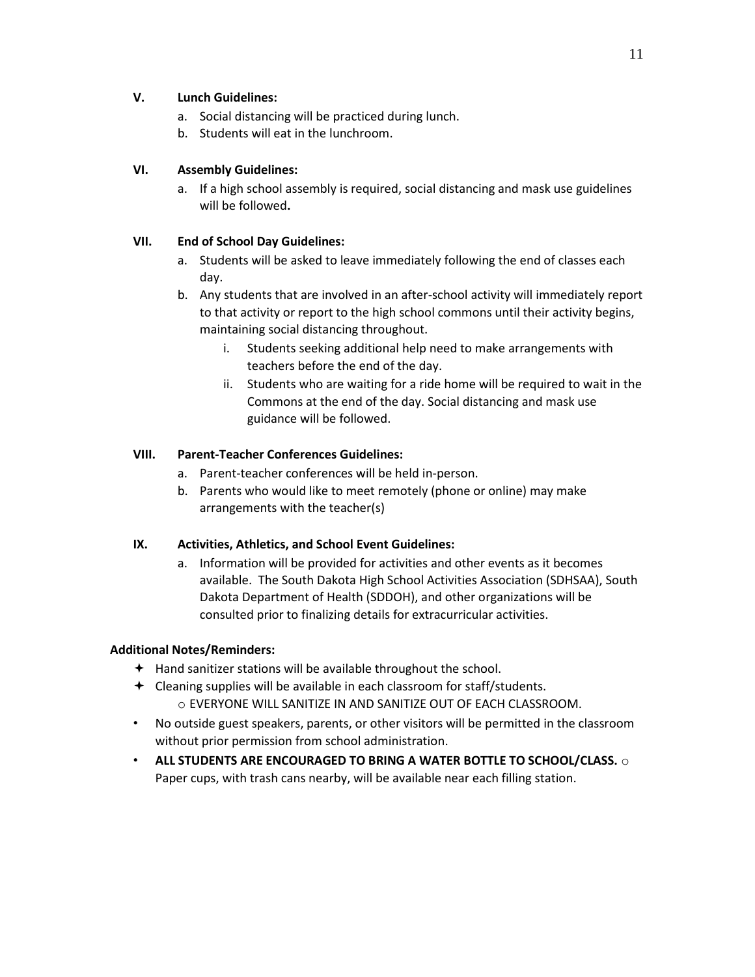# **V. Lunch Guidelines:**

- a. Social distancing will be practiced during lunch.
- b. Students will eat in the lunchroom.

# **VI. Assembly Guidelines:**

a. If a high school assembly is required, social distancing and mask use guidelines will be followed**.** 

# **VII. End of School Day Guidelines:**

- a. Students will be asked to leave immediately following the end of classes each day.
- b. Any students that are involved in an after-school activity will immediately report to that activity or report to the high school commons until their activity begins, maintaining social distancing throughout.
	- i. Students seeking additional help need to make arrangements with teachers before the end of the day.
	- ii. Students who are waiting for a ride home will be required to wait in the Commons at the end of the day. Social distancing and mask use guidance will be followed.

# **VIII. Parent-Teacher Conferences Guidelines:**

- a. Parent-teacher conferences will be held in-person.
- b. Parents who would like to meet remotely (phone or online) may make arrangements with the teacher(s)

# **IX. Activities, Athletics, and School Event Guidelines:**

a. Information will be provided for activities and other events as it becomes available. The South Dakota High School Activities Association (SDHSAA), South Dakota Department of Health (SDDOH), and other organizations will be consulted prior to finalizing details for extracurricular activities.

# **Additional Notes/Reminders:**

- Hand sanitizer stations will be available throughout the school.
- Cleaning supplies will be available in each classroom for staff/students. o EVERYONE WILL SANITIZE IN AND SANITIZE OUT OF EACH CLASSROOM.
- No outside guest speakers, parents, or other visitors will be permitted in the classroom without prior permission from school administration.
- **ALL STUDENTS ARE ENCOURAGED TO BRING A WATER BOTTLE TO SCHOOL/CLASS.** o Paper cups, with trash cans nearby, will be available near each filling station.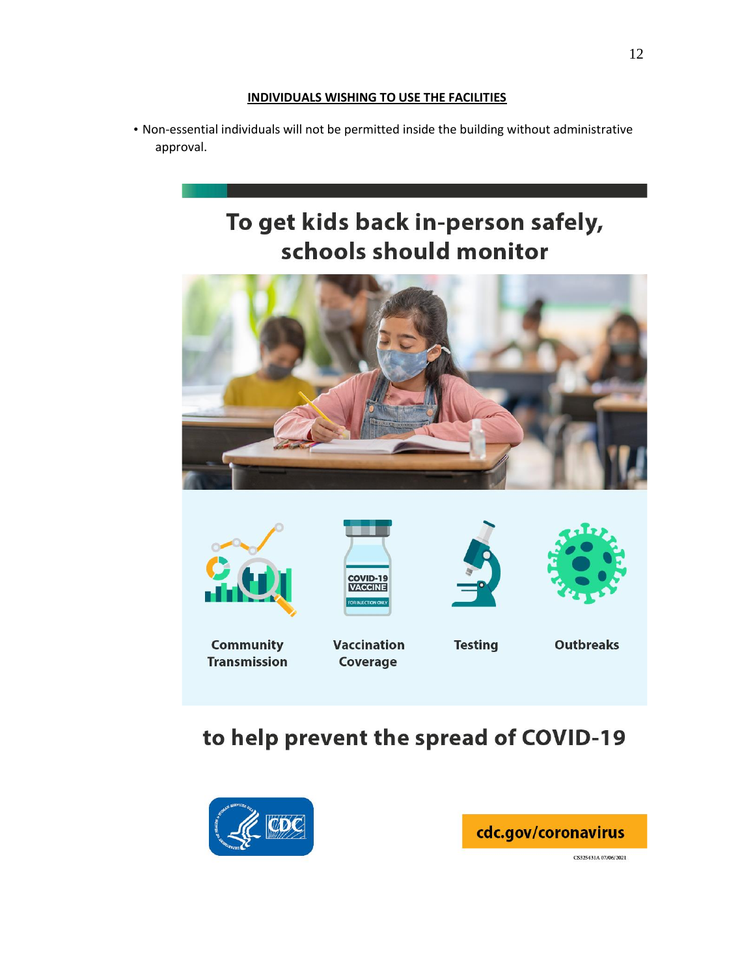# **INDIVIDUALS WISHING TO USE THE FACILITIES**

• Non-essential individuals will not be permitted inside the building without administrative approval.

# To get kids back in-person safely, schools should monitor











**Community Transmission** 

**Vaccination** Coverage

**Testing** 

**Outbreaks** 

# to help prevent the spread of COVID-19





CS325431A 07/06/2021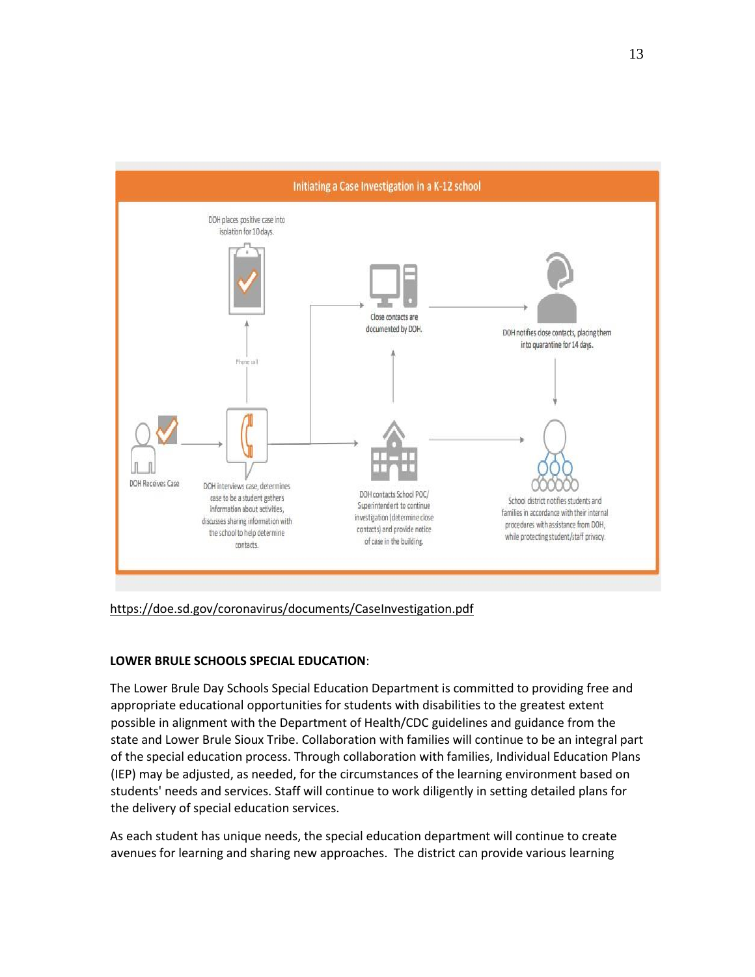

<https://doe.sd.gov/coronavirus/documents/CaseInvestigation.pdf>

# **LOWER BRULE SCHOOLS SPECIAL EDUCATION**:

The Lower Brule Day Schools Special Education Department is committed to providing free and appropriate educational opportunities for students with disabilities to the greatest extent possible in alignment with the Department of Health/CDC guidelines and guidance from the state and Lower Brule Sioux Tribe. Collaboration with families will continue to be an integral part of the special education process. Through collaboration with families, Individual Education Plans (IEP) may be adjusted, as needed, for the circumstances of the learning environment based on students' needs and services. Staff will continue to work diligently in setting detailed plans for the delivery of special education services.

As each student has unique needs, the special education department will continue to create avenues for learning and sharing new approaches. The district can provide various learning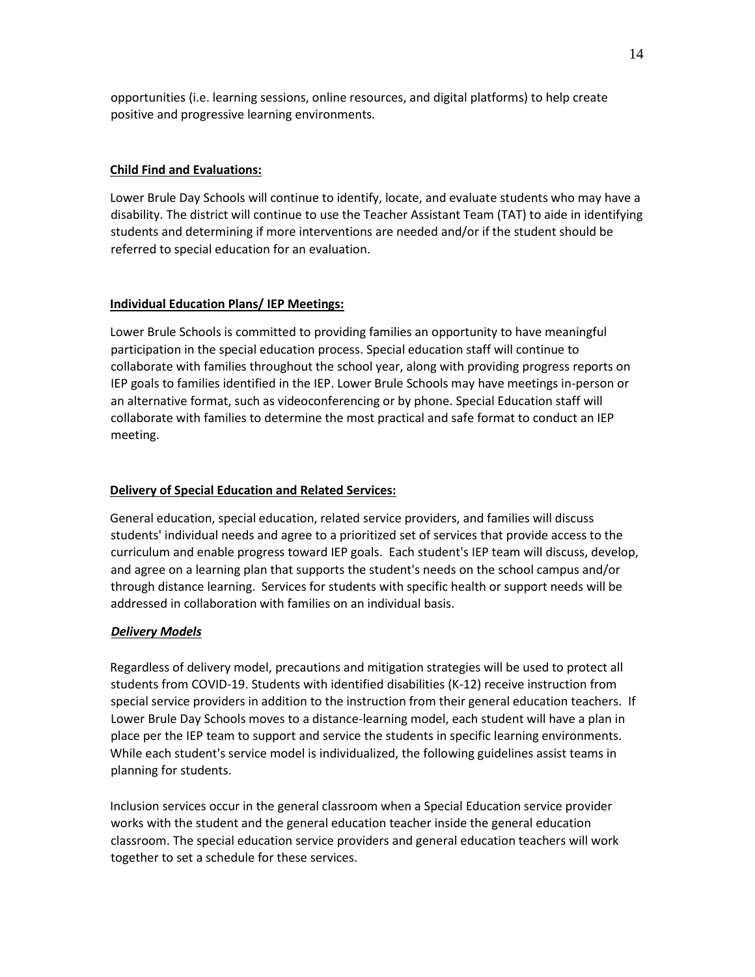opportunities (i.e. learning sessions, online resources, and digital platforms) to help create positive and progressive learning environments.

# **Child Find and Evaluations:**

Lower Brule Day Schools will continue to identify, locate, and evaluate students who may have a disability. The district will continue to use the Teacher Assistant Team (TAT) to aide in identifying students and determining if more interventions are needed and/or if the student should be referred to special education for an evaluation.

#### **Individual Education Plans/ IEP Meetings:**

Lower Brule Schools is committed to providing families an opportunity to have meaningful participation in the special education process. Special education staff will continue to collaborate with families throughout the school year, along with providing progress reports on IEP goals to families identified in the IEP. Lower Brule Schools may have meetings in-person or an alternative format, such as videoconferencing or by phone. Special Education staff will collaborate with families to determine the most practical and safe format to conduct an IEP meeting.

## **Delivery of Special Education and Related Services:**

General education, special education, related service providers, and families will discuss students' individual needs and agree to a prioritized set of services that provide access to the curriculum and enable progress toward IEP goals. Each student's IEP team will discuss, develop, and agree on a learning plan that supports the student's needs on the school campus and/or through distance learning. Services for students with specific health or support needs will be addressed in collaboration with families on an individual basis.

#### *Delivery Models*

Regardless of delivery model, precautions and mitigation strategies will be used to protect all students from COVID-19. Students with identified disabilities (K-12) receive instruction from special service providers in addition to the instruction from their general education teachers. If Lower Brule Day Schools moves to a distance-learning model, each student will have a plan in place per the IEP team to support and service the students in specific learning environments. While each student's service model is individualized, the following guidelines assist teams in planning for students.

Inclusion services occur in the general classroom when a Special Education service provider works with the student and the general education teacher inside the general education classroom. The special education service providers and general education teachers will work together to set a schedule for these services.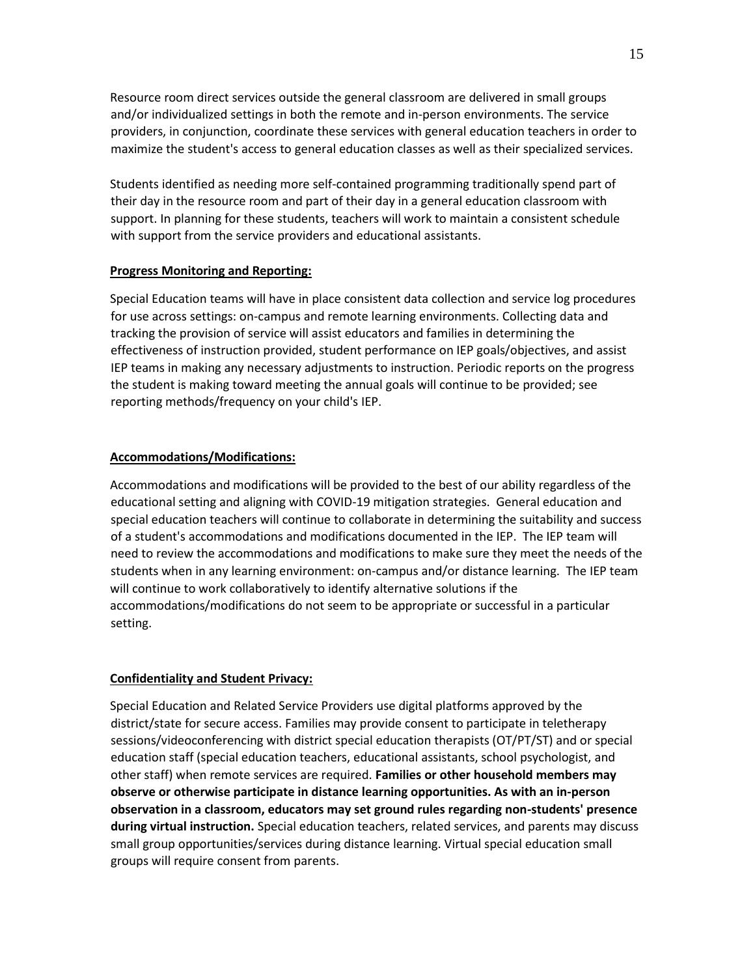Resource room direct services outside the general classroom are delivered in small groups and/or individualized settings in both the remote and in-person environments. The service providers, in conjunction, coordinate these services with general education teachers in order to maximize the student's access to general education classes as well as their specialized services.

Students identified as needing more self-contained programming traditionally spend part of their day in the resource room and part of their day in a general education classroom with support. In planning for these students, teachers will work to maintain a consistent schedule with support from the service providers and educational assistants.

#### **Progress Monitoring and Reporting:**

Special Education teams will have in place consistent data collection and service log procedures for use across settings: on-campus and remote learning environments. Collecting data and tracking the provision of service will assist educators and families in determining the effectiveness of instruction provided, student performance on IEP goals/objectives, and assist IEP teams in making any necessary adjustments to instruction. Periodic reports on the progress the student is making toward meeting the annual goals will continue to be provided; see reporting methods/frequency on your child's IEP.

#### **Accommodations/Modifications:**

Accommodations and modifications will be provided to the best of our ability regardless of the educational setting and aligning with COVID-19 mitigation strategies. General education and special education teachers will continue to collaborate in determining the suitability and success of a student's accommodations and modifications documented in the IEP. The IEP team will need to review the accommodations and modifications to make sure they meet the needs of the students when in any learning environment: on-campus and/or distance learning. The IEP team will continue to work collaboratively to identify alternative solutions if the accommodations/modifications do not seem to be appropriate or successful in a particular setting.

#### **Confidentiality and Student Privacy:**

Special Education and Related Service Providers use digital platforms approved by the district/state for secure access. Families may provide consent to participate in teletherapy sessions/videoconferencing with district special education therapists (OT/PT/ST) and or special education staff (special education teachers, educational assistants, school psychologist, and other staff) when remote services are required. **Families or other household members may observe or otherwise participate in distance learning opportunities. As with an in-person observation in a classroom, educators may set ground rules regarding non-students' presence during virtual instruction.** Special education teachers, related services, and parents may discuss small group opportunities/services during distance learning. Virtual special education small groups will require consent from parents.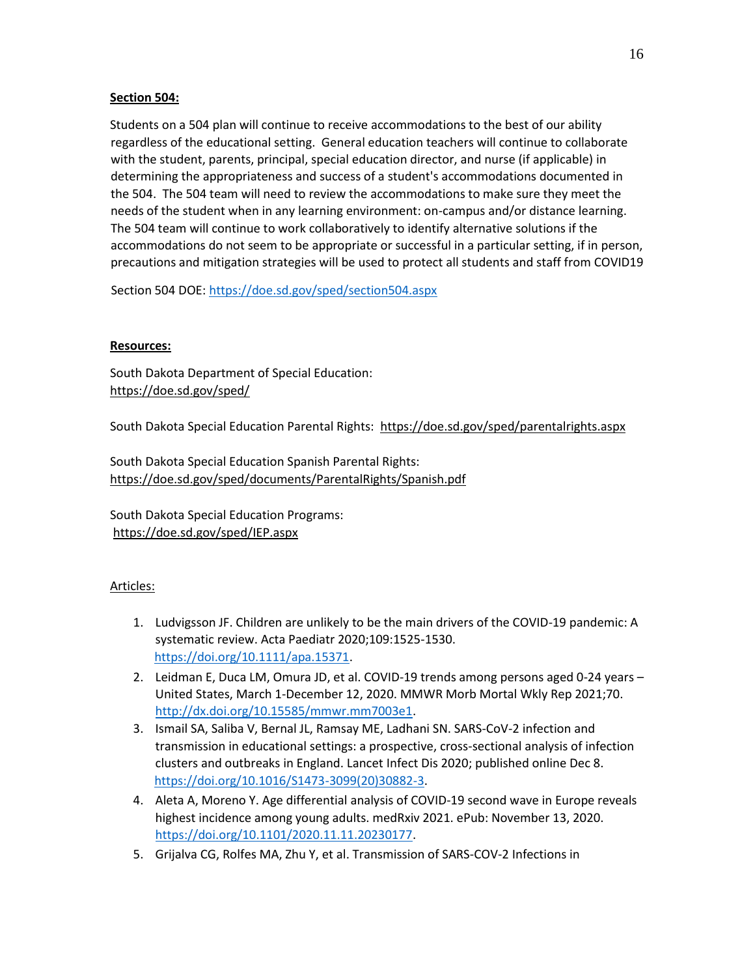# **Section 504:**

Students on a 504 plan will continue to receive accommodations to the best of our ability regardless of the educational setting. General education teachers will continue to collaborate with the student, parents, principal, special education director, and nurse (if applicable) in determining the appropriateness and success of a student's accommodations documented in the 504. The 504 team will need to review the accommodations to make sure they meet the needs of the student when in any learning environment: on-campus and/or distance learning. The 504 team will continue to work collaboratively to identify alternative solutions if the accommodations do not seem to be appropriate or successful in a particular setting, if in person, precautions and mitigation strategies will be used to protect all students and staff from COVID19

Section 504 DOE[: https://doe.sd.gov/sped/section504.aspx](https://doe.sd.gov/sped/section504.aspx)

# **Resources:**

South Dakota Department of Special Education: <https://doe.sd.gov/sped/>

South Dakota Special Education Parental Rights: <https://doe.sd.gov/sped/parentalrights.aspx>

South Dakota Special Education Spanish Parental Rights: <https://doe.sd.gov/sped/documents/ParentalRights/Spanish.pdf>

South Dakota Special Education Programs: <https://doe.sd.gov/sped/IEP.aspx>

# Articles:

- 1. Ludvigsson JF. Children are unlikely to be the main drivers of the COVID-19 pandemic: A systematic review. Acta Paediatr 2020;109:1525-1530. [https://doi.org/10.1111/apa.15371.](https://doi.org/10.1111/apa.15371)
- 2. Leidman E, Duca LM, Omura JD, et al. COVID-19 trends among persons aged 0-24 years United States, March 1-December 12, 2020. MMWR Morb Mortal Wkly Rep 2021;70. [http://dx.doi.org/10.15585/mmwr.mm7003e1.](http://dx.doi.org/10.15585/mmwr.mm7003e1)
- 3. Ismail SA, Saliba V, Bernal JL, Ramsay ME, Ladhani SN. SARS-CoV-2 infection and transmission in educational settings: a prospective, cross-sectional analysis of infection clusters and outbreaks in England. Lancet Infect Dis 2020; published online Dec 8. [https://doi.org/10.1016/S1473-3099\(20\)30882-3.](https://doi.org/10.1016/S1473-3099(20)30882-3)
- 4. Aleta A, Moreno Y. Age differential analysis of COVID-19 second wave in Europe reveals highest incidence among young adults. medRxiv 2021. ePub: November 13, 2020. [https://doi.org/10.1101/2020.11.11.20230177.](https://doi.org/10.1101/2020.11.11.20230177)
- 5. Grijalva CG, Rolfes MA, Zhu Y, et al. Transmission of SARS-COV-2 Infections in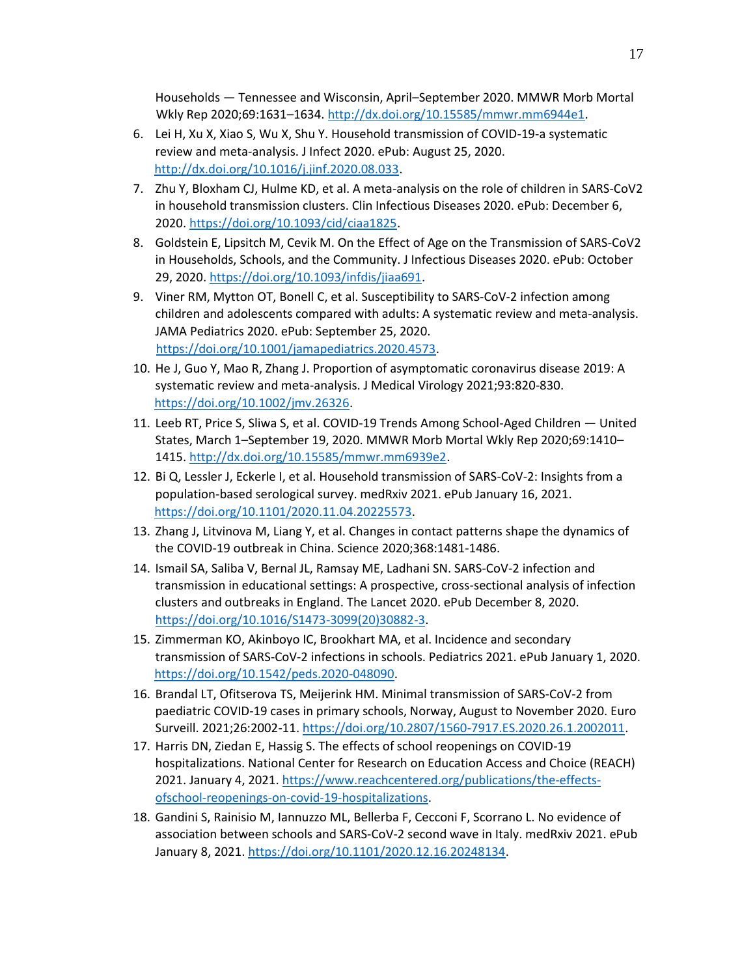Households — Tennessee and Wisconsin, April–September 2020. MMWR Morb Mortal Wkly Rep 2020;69:1631–1634[. http://dx.doi.org/10.15585/mmwr.mm6944e1.](http://dx.doi.org/10.15585/mmwr.mm6944e1) 

- 6. Lei H, Xu X, Xiao S, Wu X, Shu Y. Household transmission of COVID-19-a systematic review and meta-analysis. J Infect 2020. ePub: August 25, 2020. [http://dx.doi.org/10.1016/j.jinf.2020.08.033.](http://dx.doi.org/10.1016/j.jinf.2020.08.033)
- 7. Zhu Y, Bloxham CJ, Hulme KD, et al. A meta-analysis on the role of children in SARS-CoV2 in household transmission clusters. Clin Infectious Diseases 2020. ePub: December 6, 2020. [https://doi.org/10.1093/cid/ciaa1825.](https://doi.org/10.1093/cid/ciaa1825)
- 8. Goldstein E, Lipsitch M, Cevik M. On the Effect of Age on the Transmission of SARS-CoV2 in Households, Schools, and the Community. J Infectious Diseases 2020. ePub: October 29, 2020. [https://doi.org/10.1093/infdis/jiaa691.](https://doi.org/10.1093/infdis/jiaa691)
- 9. Viner RM, Mytton OT, Bonell C, et al. Susceptibility to SARS-CoV-2 infection among children and adolescents compared with adults: A systematic review and meta-analysis. JAMA Pediatrics 2020. ePub: September 25, 2020. [https://doi.org/10.1001/jamapediatrics.2020.4573.](https://doi.org/10.1001/jamapediatrics.2020.4573)
- 10. He J, Guo Y, Mao R, Zhang J. Proportion of asymptomatic coronavirus disease 2019: A systematic review and meta-analysis. J Medical Virology 2021;93:820-830. [https://doi.org/10.1002/jmv.26326.](https://doi.org/10.1002/jmv.26326)
- 11. Leeb RT, Price S, Sliwa S, et al. COVID-19 Trends Among School-Aged Children United States, March 1–September 19, 2020. MMWR Morb Mortal Wkly Rep 2020;69:1410– 1415[. http://dx.doi.org/10.15585/mmwr.mm6939e2.](http://dx.doi.org/10.15585/mmwr.mm6939e2)
- 12. Bi Q, Lessler J, Eckerle I, et al. Household transmission of SARS-CoV-2: Insights from a population-based serological survey. medRxiv 2021. ePub January 16, 2021. [https://doi.org/10.1101/2020.11.04.20225573.](https://doi.org/10.1101/2020.11.04.20225573)
- 13. Zhang J, Litvinova M, Liang Y, et al. Changes in contact patterns shape the dynamics of the COVID-19 outbreak in China. Science 2020;368:1481-1486.
- 14. Ismail SA, Saliba V, Bernal JL, Ramsay ME, Ladhani SN. SARS-CoV-2 infection and transmission in educational settings: A prospective, cross-sectional analysis of infection clusters and outbreaks in England. The Lancet 2020. ePub December 8, 2020. [https://doi.org/10.1016/S1473-3099\(20\)30882-3.](https://doi.org/10.1016/S1473-3099(20)30882-3)
- 15. Zimmerman KO, Akinboyo IC, Brookhart MA, et al. Incidence and secondary transmission of SARS-CoV-2 infections in schools. Pediatrics 2021. ePub January 1, 2020. [https://doi.org/10.1542/peds.2020-048090.](https://doi.org/10.1542/peds.2020-048090)
- 16. Brandal LT, Ofitserova TS, Meijerink HM. Minimal transmission of SARS-CoV-2 from paediatric COVID-19 cases in primary schools, Norway, August to November 2020. Euro Surveill. 2021;26:2002-11[. https://doi.org/10.2807/1560-7917.ES.2020.26.1.2002011.](https://doi.org/10.2807/1560-7917.ES.2020.26.1.2002011)
- 17. Harris DN, Ziedan E, Hassig S. The effects of school reopenings on COVID-19 hospitalizations. National Center for Research on Education Access and Choice (REACH) 2021. January 4, 2021. [https://www.reachcentered.org/publications/the-effects](https://www.reachcentered.org/publications/the-effects-of-school-reopenings-on-covid-19-hospitalizations)[ofschool-reopenings-on-covid-19-hospitalizations.](https://www.reachcentered.org/publications/the-effects-of-school-reopenings-on-covid-19-hospitalizations)
- 18. Gandini S, Rainisio M, Iannuzzo ML, Bellerba F, Cecconi F, Scorrano L. No evidence of association between schools and SARS-CoV-2 second wave in Italy. medRxiv 2021. ePub January 8, 2021. [https://doi.org/10.1101/2020.12.16.20248134.](https://doi.org/10.1101/2020.12.16.20248134)